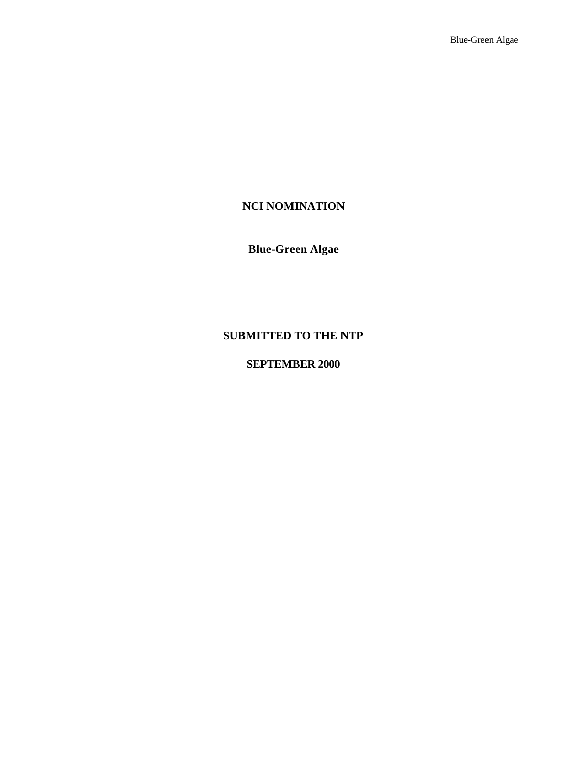# **NCI NOMINATION**

# **Blue-Green Algae**

# **SUBMITTED TO THE NTP**

# **SEPTEMBER 2000**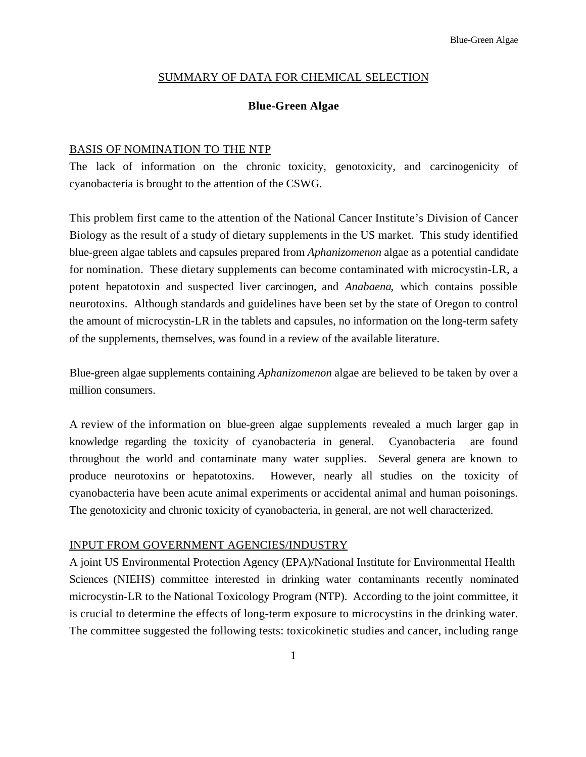### SUMMARY OF DATA FOR CHEMICAL SELECTION

### **Blue-Green Algae**

#### BASIS OF NOMINATION TO THE NTP

The lack of information on the chronic toxicity, genotoxicity, and carcinogenicity of cyanobacteria is brought to the attention of the CSWG.

This problem first came to the attention of the National Cancer Institute's Division of Cancer Biology as the result of a study of dietary supplements in the US market. This study identified blue-green algae tablets and capsules prepared from *Aphanizomenon* algae as a potential candidate for nomination. These dietary supplements can become contaminated with microcystin-LR, a potent hepatotoxin and suspected liver carcinogen, and *Anabaena*, which contains possible neurotoxins. Although standards and guidelines have been set by the state of Oregon to control the amount of microcystin-LR in the tablets and capsules, no information on the long-term safety of the supplements, themselves, was found in a review of the available literature.

Blue-green algae supplements containing *Aphanizomenon* algae are believed to be taken by over a million consumers.

A review of the information on blue-green algae supplements revealed a much larger gap in knowledge regarding the toxicity of cyanobacteria in general. Cyanobacteria are found throughout the world and contaminate many water supplies. Several genera are known to produce neurotoxins or hepatotoxins. However, nearly all studies on the toxicity of cyanobacteria have been acute animal experiments or accidental animal and human poisonings. The genotoxicity and chronic toxicity of cyanobacteria, in general, are not well characterized.

#### INPUT FROM GOVERNMENT AGENCIES/INDUSTRY

A joint US Environmental Protection Agency (EPA)/National Institute for Environmental Health Sciences (NIEHS) committee interested in drinking water contaminants recently nominated microcystin-LR to the National Toxicology Program (NTP). According to the joint committee, it is crucial to determine the effects of long-term exposure to microcystins in the drinking water. The committee suggested the following tests: toxicokinetic studies and cancer, including range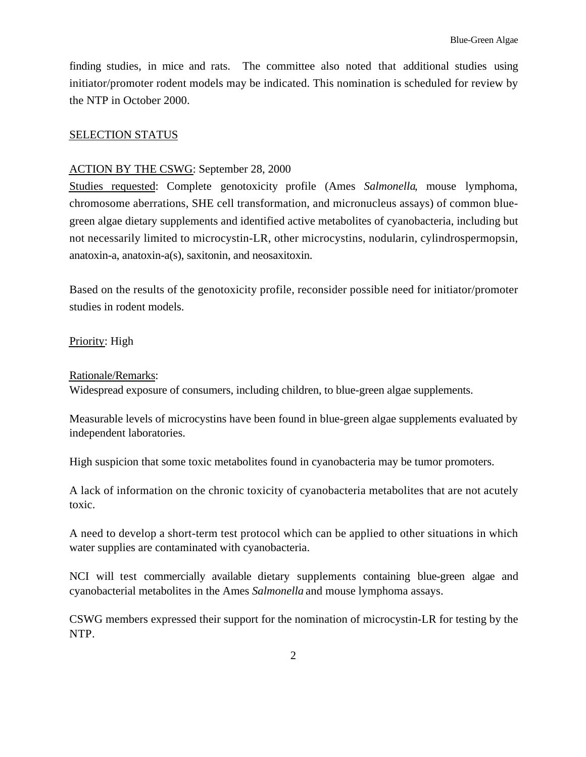finding studies, in mice and rats. The committee also noted that additional studies using initiator/promoter rodent models may be indicated. This nomination is scheduled for review by the NTP in October 2000.

### SELECTION STATUS

### ACTION BY THE CSWG: September 28, 2000

Studies requested: Complete genotoxicity profile (Ames *Salmonella*, mouse lymphoma, chromosome aberrations, SHE cell transformation, and micronucleus assays) of common bluegreen algae dietary supplements and identified active metabolites of cyanobacteria, including but not necessarily limited to microcystin-LR, other microcystins, nodularin, cylindrospermopsin, anatoxin-a, anatoxin-a(s), saxitonin, and neosaxitoxin.

Based on the results of the genotoxicity profile, reconsider possible need for initiator/promoter studies in rodent models.

### Priority: High

### Rationale/Remarks:

Widespread exposure of consumers, including children, to blue-green algae supplements.

Measurable levels of microcystins have been found in blue-green algae supplements evaluated by independent laboratories.

High suspicion that some toxic metabolites found in cyanobacteria may be tumor promoters.

A lack of information on the chronic toxicity of cyanobacteria metabolites that are not acutely toxic.

A need to develop a short-term test protocol which can be applied to other situations in which water supplies are contaminated with cyanobacteria.

NCI will test commercially available dietary supplements containing blue-green algae and cyanobacterial metabolites in the Ames *Salmonella* and mouse lymphoma assays.

CSWG members expressed their support for the nomination of microcystin-LR for testing by the NTP.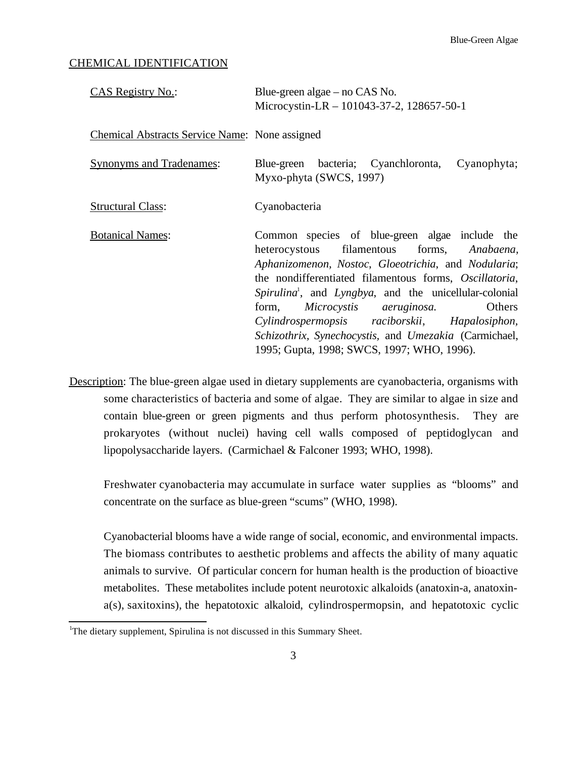### CHEMICAL IDENTIFICATION

| <b>CAS Registry No.:</b>                              | Blue-green algae $-$ no CAS No.<br>Microcystin-LR $- 101043-37-2$ , 128657-50-1                                                                                                                                                                                                                                                                                                                                                                                                           |  |  |  |
|-------------------------------------------------------|-------------------------------------------------------------------------------------------------------------------------------------------------------------------------------------------------------------------------------------------------------------------------------------------------------------------------------------------------------------------------------------------------------------------------------------------------------------------------------------------|--|--|--|
| <b>Chemical Abstracts Service Name:</b> None assigned |                                                                                                                                                                                                                                                                                                                                                                                                                                                                                           |  |  |  |
| <b>Synonyms and Tradenames:</b>                       | Blue-green bacteria; Cyanchloronta, Cyanophyta;<br>Myxo-phyta (SWCS, 1997)                                                                                                                                                                                                                                                                                                                                                                                                                |  |  |  |
| <b>Structural Class:</b>                              | Cyanobacteria                                                                                                                                                                                                                                                                                                                                                                                                                                                                             |  |  |  |
| <b>Botanical Names:</b>                               | Common species of blue-green algae include the<br>heterocystous filamentous forms, Anabaena,<br>Aphanizomenon, Nostoc, Gloeotrichia, and Nodularia;<br>the nondifferentiated filamentous forms, Oscillatoria,<br>Spirulina <sup>1</sup> , and Lyngbya, and the unicellular-colonial<br>Microcystis aeruginosa.<br>Others<br>form,<br>Cylindrospermopsis raciborskii, Hapalosiphon,<br>Schizothrix, Synechocystis, and Umezakia (Carmichael,<br>1995; Gupta, 1998; SWCS, 1997; WHO, 1996). |  |  |  |

Description: The blue-green algae used in dietary supplements are cyanobacteria, organisms with some characteristics of bacteria and some of algae. They are similar to algae in size and contain blue-green or green pigments and thus perform photosynthesis. They are prokaryotes (without nuclei) having cell walls composed of peptidoglycan and lipopolysaccharide layers. (Carmichael & Falconer 1993; WHO, 1998).

Freshwater cyanobacteria may accumulate in surface water supplies as "blooms" and concentrate on the surface as blue-green "scums" (WHO, 1998).

Cyanobacterial blooms have a wide range of social, economic, and environmental impacts. The biomass contributes to aesthetic problems and affects the ability of many aquatic animals to survive. Of particular concern for human health is the production of bioactive metabolites. These metabolites include potent neurotoxic alkaloids (anatoxin-a, anatoxina(s), saxitoxins), the hepatotoxic alkaloid, cylindrospermopsin, and hepatotoxic cyclic

 1 The dietary supplement, Spirulina is not discussed in this Summary Sheet.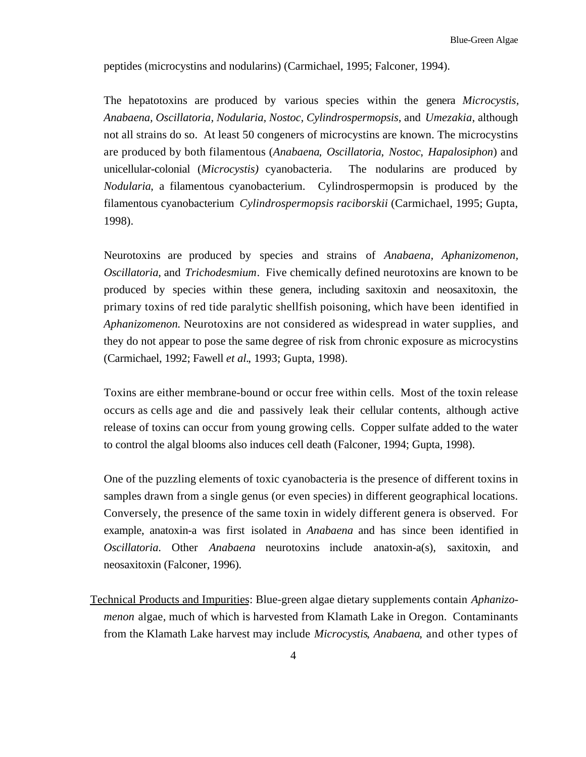peptides (microcystins and nodularins) (Carmichael, 1995; Falconer, 1994).

The hepatotoxins are produced by various species within the genera *Microcystis, Anabaena, Oscillatoria, Nodularia, Nostoc, Cylindrospermopsis*, and *Umezakia*, although not all strains do so. At least 50 congeners of microcystins are known. The microcystins are produced by both filamentous (*Anabaena*, *Oscillatoria*, *Nostoc*, *Hapalosiphon*) and unicellular-colonial (*Microcystis)* cyanobacteria. The nodularins are produced by *Nodularia*, a filamentous cyanobacterium. Cylindrospermopsin is produced by the filamentous cyanobacterium *Cylindrospermopsis raciborskii* (Carmichael, 1995; Gupta, 1998).

Neurotoxins are produced by species and strains of *Anabaena, Aphanizomenon, Oscillatoria*, and *Trichodesmium*. Five chemically defined neurotoxins are known to be produced by species within these genera, including saxitoxin and neosaxitoxin, the primary toxins of red tide paralytic shellfish poisoning, which have been identified in *Aphanizomenon*. Neurotoxins are not considered as widespread in water supplies, and they do not appear to pose the same degree of risk from chronic exposure as microcystins (Carmichael, 1992; Fawell *et al.*, 1993; Gupta, 1998).

Toxins are either membrane-bound or occur free within cells. Most of the toxin release occurs as cells age and die and passively leak their cellular contents, although active release of toxins can occur from young growing cells. Copper sulfate added to the water to control the algal blooms also induces cell death (Falconer, 1994; Gupta, 1998).

One of the puzzling elements of toxic cyanobacteria is the presence of different toxins in samples drawn from a single genus (or even species) in different geographical locations. Conversely, the presence of the same toxin in widely different genera is observed. For example, anatoxin-a was first isolated in *Anabaena* and has since been identified in *Oscillatoria*. Other *Anabaena* neurotoxins include anatoxin-a(s), saxitoxin, and neosaxitoxin (Falconer, 1996).

Technical Products and Impurities: Blue-green algae dietary supplements contain *Aphanizomenon* algae, much of which is harvested from Klamath Lake in Oregon. Contaminants from the Klamath Lake harvest may include *Microcystis*, *Anabaena*, and other types of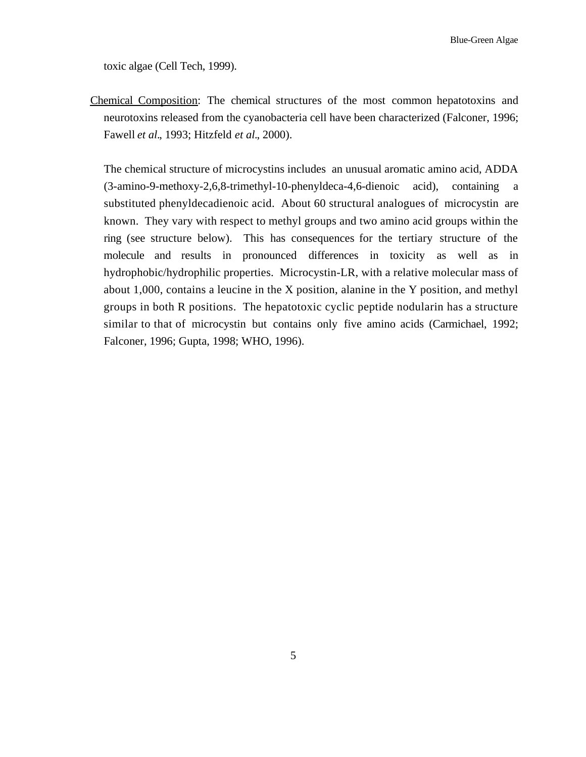toxic algae (Cell Tech, 1999).

Chemical Composition: The chemical structures of the most common hepatotoxins and neurotoxins released from the cyanobacteria cell have been characterized (Falconer, 1996; Fawell *et al.*, 1993; Hitzfeld *et al.*, 2000).

The chemical structure of microcystins includes an unusual aromatic amino acid, ADDA (3-amino-9-methoxy-2,6,8-trimethyl-10-phenyldeca-4,6-dienoic acid), containing a substituted phenyldecadienoic acid. About 60 structural analogues of microcystin are known. They vary with respect to methyl groups and two amino acid groups within the ring (see structure below). This has consequences for the tertiary structure of the molecule and results in pronounced differences in toxicity as well as in hydrophobic/hydrophilic properties. Microcystin-LR, with a relative molecular mass of about 1,000, contains a leucine in the X position, alanine in the Y position, and methyl groups in both R positions. The hepatotoxic cyclic peptide nodularin has a structure similar to that of microcystin but contains only five amino acids (Carmichael, 1992; Falconer, 1996; Gupta, 1998; WHO, 1996).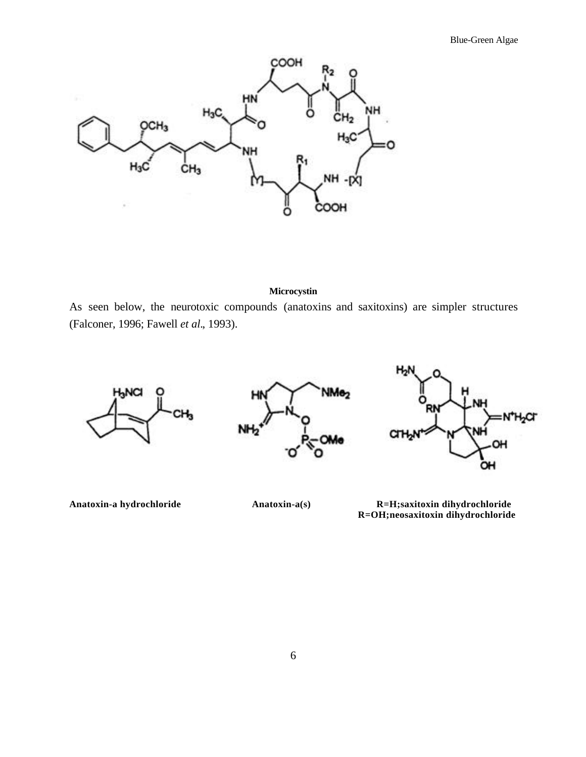

#### **Microcystin**

As seen below, the neurotoxic compounds (anatoxins and saxitoxins) are simpler structures (Falconer, 1996; Fawell *et al.*, 1993).



**Anatoxin-a hydrochloride Anatoxin-a(s) R=H;saxitoxin dihydrochloride R=OH;neosaxitoxin dihydrochloride**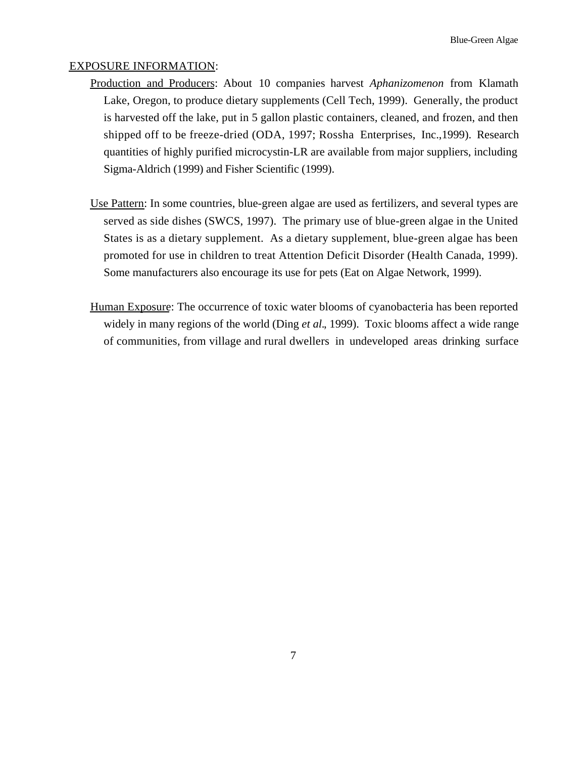### EXPOSURE INFORMATION:

- Production and Producers: About 10 companies harvest *Aphanizomenon* from Klamath Lake, Oregon, to produce dietary supplements (Cell Tech, 1999). Generally, the product is harvested off the lake, put in 5 gallon plastic containers, cleaned, and frozen, and then shipped off to be freeze-dried (ODA, 1997; Rossha Enterprises, Inc.,1999). Research quantities of highly purified microcystin-LR are available from major suppliers, including Sigma-Aldrich (1999) and Fisher Scientific (1999).
- Use Pattern: In some countries, blue-green algae are used as fertilizers, and several types are served as side dishes (SWCS, 1997). The primary use of blue-green algae in the United States is as a dietary supplement. As a dietary supplement, blue-green algae has been promoted for use in children to treat Attention Deficit Disorder (Health Canada, 1999). Some manufacturers also encourage its use for pets (Eat on Algae Network, 1999).
- Human Exposure: The occurrence of toxic water blooms of cyanobacteria has been reported widely in many regions of the world (Ding *et al.*, 1999). Toxic blooms affect a wide range of communities, from village and rural dwellers in undeveloped areas drinking surface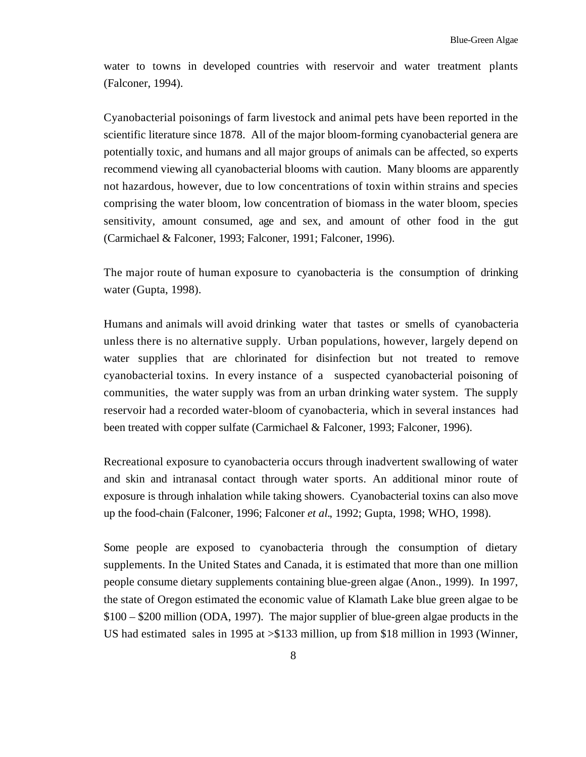water to towns in developed countries with reservoir and water treatment plants (Falconer, 1994).

Cyanobacterial poisonings of farm livestock and animal pets have been reported in the scientific literature since 1878. All of the major bloom-forming cyanobacterial genera are potentially toxic, and humans and all major groups of animals can be affected, so experts recommend viewing all cyanobacterial blooms with caution. Many blooms are apparently not hazardous, however, due to low concentrations of toxin within strains and species comprising the water bloom, low concentration of biomass in the water bloom, species sensitivity, amount consumed, age and sex, and amount of other food in the gut (Carmichael & Falconer, 1993; Falconer, 1991; Falconer, 1996).

The major route of human exposure to cyanobacteria is the consumption of drinking water (Gupta, 1998).

Humans and animals will avoid drinking water that tastes or smells of cyanobacteria unless there is no alternative supply. Urban populations, however, largely depend on water supplies that are chlorinated for disinfection but not treated to remove cyanobacterial toxins. In every instance of a suspected cyanobacterial poisoning of communities, the water supply was from an urban drinking water system. The supply reservoir had a recorded water-bloom of cyanobacteria, which in several instances had been treated with copper sulfate (Carmichael & Falconer, 1993; Falconer, 1996).

Recreational exposure to cyanobacteria occurs through inadvertent swallowing of water and skin and intranasal contact through water sports. An additional minor route of exposure is through inhalation while taking showers. Cyanobacterial toxins can also move up the food-chain (Falconer, 1996; Falconer *et al.*, 1992; Gupta, 1998; WHO, 1998).

Some people are exposed to cyanobacteria through the consumption of dietary supplements. In the United States and Canada, it is estimated that more than one million people consume dietary supplements containing blue-green algae (Anon., 1999). In 1997, the state of Oregon estimated the economic value of Klamath Lake blue green algae to be \$100 – \$200 million (ODA, 1997). The major supplier of blue-green algae products in the US had estimated sales in 1995 at >\$133 million, up from \$18 million in 1993 (Winner,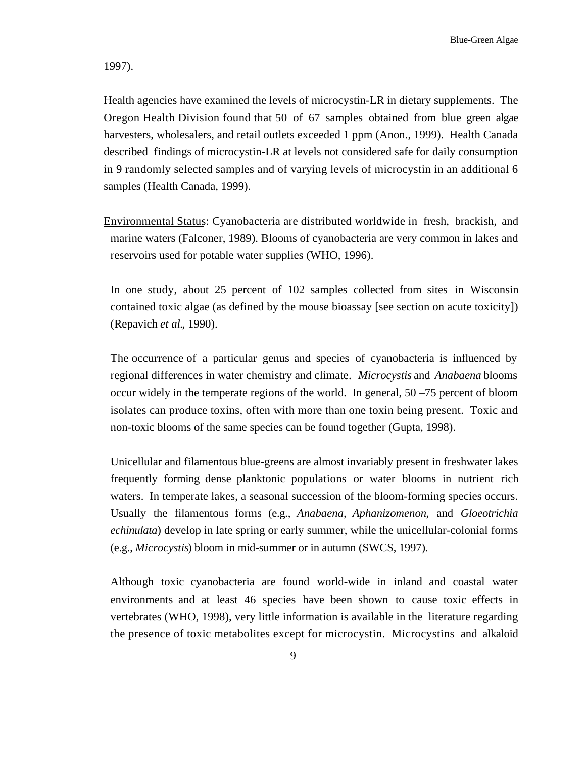1997).

Health agencies have examined the levels of microcystin-LR in dietary supplements. The Oregon Health Division found that 50 of 67 samples obtained from blue green algae harvesters, wholesalers, and retail outlets exceeded 1 ppm (Anon., 1999). Health Canada described findings of microcystin-LR at levels not considered safe for daily consumption in 9 randomly selected samples and of varying levels of microcystin in an additional 6 samples (Health Canada, 1999).

Environmental Status: Cyanobacteria are distributed worldwide in fresh, brackish, and marine waters (Falconer, 1989). Blooms of cyanobacteria are very common in lakes and reservoirs used for potable water supplies (WHO, 1996).

In one study, about 25 percent of 102 samples collected from sites in Wisconsin contained toxic algae (as defined by the mouse bioassay [see section on acute toxicity]) (Repavich *et al.*, 1990).

The occurrence of a particular genus and species of cyanobacteria is influenced by regional differences in water chemistry and climate. *Microcystis* and *Anabaena* blooms occur widely in the temperate regions of the world. In general, 50 –75 percent of bloom isolates can produce toxins, often with more than one toxin being present. Toxic and non-toxic blooms of the same species can be found together (Gupta, 1998).

Unicellular and filamentous blue-greens are almost invariably present in freshwater lakes frequently forming dense planktonic populations or water blooms in nutrient rich waters. In temperate lakes, a seasonal succession of the bloom-forming species occurs. Usually the filamentous forms (e.g., *Anabaena, Aphanizomenon*, and *Gloeotrichia echinulata*) develop in late spring or early summer, while the unicellular-colonial forms (e.g., *Microcystis*) bloom in mid-summer or in autumn (SWCS, 1997).

Although toxic cyanobacteria are found world-wide in inland and coastal water environments and at least 46 species have been shown to cause toxic effects in vertebrates (WHO, 1998), very little information is available in the literature regarding the presence of toxic metabolites except for microcystin. Microcystins and alkaloid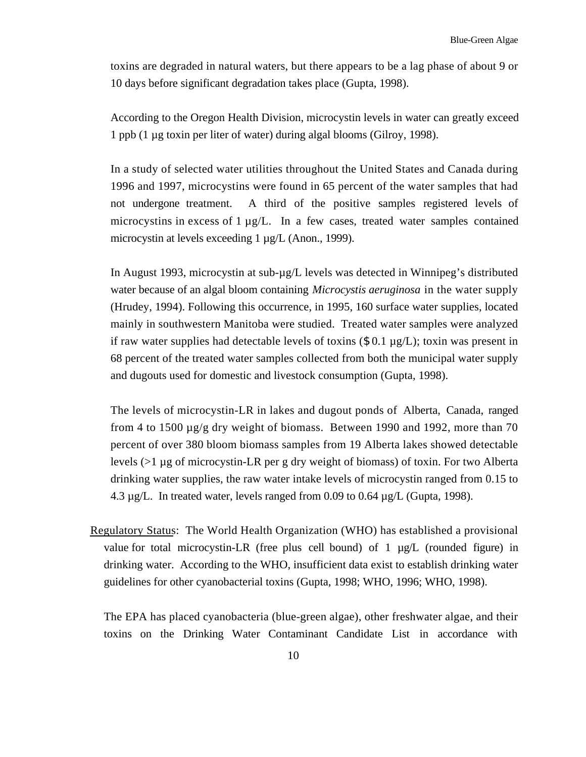toxins are degraded in natural waters, but there appears to be a lag phase of about 9 or 10 days before significant degradation takes place (Gupta, 1998).

According to the Oregon Health Division, microcystin levels in water can greatly exceed 1 ppb (1 µg toxin per liter of water) during algal blooms (Gilroy, 1998).

In a study of selected water utilities throughout the United States and Canada during 1996 and 1997, microcystins were found in 65 percent of the water samples that had not undergone treatment. A third of the positive samples registered levels of microcystins in excess of 1  $\mu$ g/L. In a few cases, treated water samples contained microcystin at levels exceeding 1 µg/L (Anon., 1999).

In August 1993, microcystin at sub- $\mu$ g/L levels was detected in Winnipeg's distributed water because of an algal bloom containing *Microcystis aeruginosa* in the water supply (Hrudey, 1994). Following this occurrence, in 1995, 160 surface water supplies, located mainly in southwestern Manitoba were studied. Treated water samples were analyzed if raw water supplies had detectable levels of toxins  $(\$ 0.1 \mu\text{g/L})$ ; toxin was present in 68 percent of the treated water samples collected from both the municipal water supply and dugouts used for domestic and livestock consumption (Gupta, 1998).

The levels of microcystin-LR in lakes and dugout ponds of Alberta, Canada, ranged from 4 to 1500 µg/g dry weight of biomass. Between 1990 and 1992, more than 70 percent of over 380 bloom biomass samples from 19 Alberta lakes showed detectable levels (>1 µg of microcystin-LR per g dry weight of biomass) of toxin. For two Alberta drinking water supplies, the raw water intake levels of microcystin ranged from 0.15 to 4.3 µg/L. In treated water, levels ranged from 0.09 to 0.64 µg/L (Gupta, 1998).

Regulatory Status: The World Health Organization (WHO) has established a provisional value for total microcystin-LR (free plus cell bound) of 1 µg/L (rounded figure) in drinking water. According to the WHO, insufficient data exist to establish drinking water guidelines for other cyanobacterial toxins (Gupta, 1998; WHO, 1996; WHO, 1998).

The EPA has placed cyanobacteria (blue-green algae), other freshwater algae, and their toxins on the Drinking Water Contaminant Candidate List in accordance with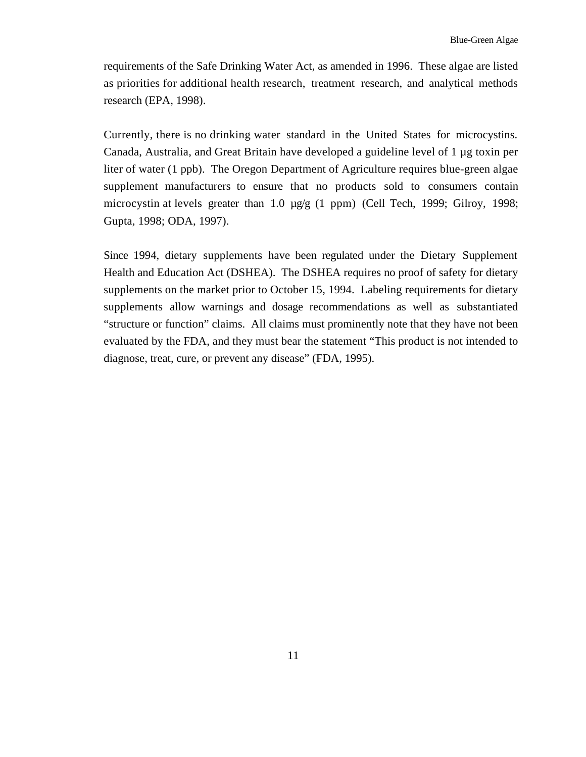requirements of the Safe Drinking Water Act, as amended in 1996. These algae are listed as priorities for additional health research, treatment research, and analytical methods research (EPA, 1998).

Currently, there is no drinking water standard in the United States for microcystins. Canada, Australia, and Great Britain have developed a guideline level of 1 µg toxin per liter of water (1 ppb). The Oregon Department of Agriculture requires blue-green algae supplement manufacturers to ensure that no products sold to consumers contain microcystin at levels greater than 1.0  $\mu$ g/g (1 ppm) (Cell Tech, 1999; Gilroy, 1998; Gupta, 1998; ODA, 1997).

Since 1994, dietary supplements have been regulated under the Dietary Supplement Health and Education Act (DSHEA). The DSHEA requires no proof of safety for dietary supplements on the market prior to October 15, 1994. Labeling requirements for dietary supplements allow warnings and dosage recommendations as well as substantiated "structure or function" claims. All claims must prominently note that they have not been evaluated by the FDA, and they must bear the statement "This product is not intended to diagnose, treat, cure, or prevent any disease" (FDA, 1995).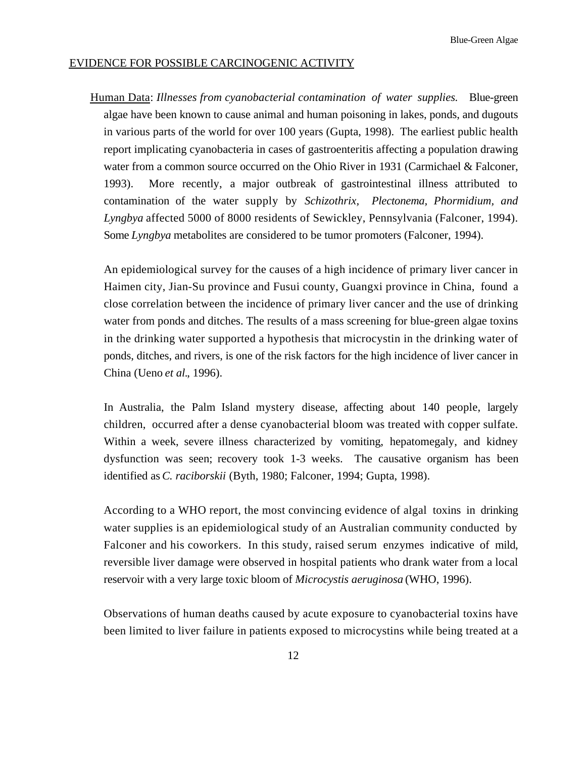### EVIDENCE FOR POSSIBLE CARCINOGENIC ACTIVITY

Human Data: *Illnesses from cyanobacterial contamination of water supplies*. Blue-green algae have been known to cause animal and human poisoning in lakes, ponds, and dugouts in various parts of the world for over 100 years (Gupta, 1998). The earliest public health report implicating cyanobacteria in cases of gastroenteritis affecting a population drawing water from a common source occurred on the Ohio River in 1931 (Carmichael & Falconer, 1993). More recently, a major outbreak of gastrointestinal illness attributed to contamination of the water supply by *Schizothrix, Plectonema, Phormidium, and Lyngbya* affected 5000 of 8000 residents of Sewickley, Pennsylvania (Falconer, 1994). Some *Lyngbya* metabolites are considered to be tumor promoters (Falconer, 1994).

An epidemiological survey for the causes of a high incidence of primary liver cancer in Haimen city, Jian-Su province and Fusui county, Guangxi province in China, found a close correlation between the incidence of primary liver cancer and the use of drinking water from ponds and ditches. The results of a mass screening for blue-green algae toxins in the drinking water supported a hypothesis that microcystin in the drinking water of ponds, ditches, and rivers, is one of the risk factors for the high incidence of liver cancer in China (Ueno *et al.*, 1996).

In Australia, the Palm Island mystery disease, affecting about 140 people, largely children, occurred after a dense cyanobacterial bloom was treated with copper sulfate. Within a week, severe illness characterized by vomiting, hepatomegaly, and kidney dysfunction was seen; recovery took 1-3 weeks. The causative organism has been identified as *C. raciborskii* (Byth, 1980; Falconer, 1994; Gupta, 1998).

According to a WHO report, the most convincing evidence of algal toxins in drinking water supplies is an epidemiological study of an Australian community conducted by Falconer and his coworkers. In this study, raised serum enzymes indicative of mild, reversible liver damage were observed in hospital patients who drank water from a local reservoir with a very large toxic bloom of *Microcystis aeruginosa* (WHO, 1996).

Observations of human deaths caused by acute exposure to cyanobacterial toxins have been limited to liver failure in patients exposed to microcystins while being treated at a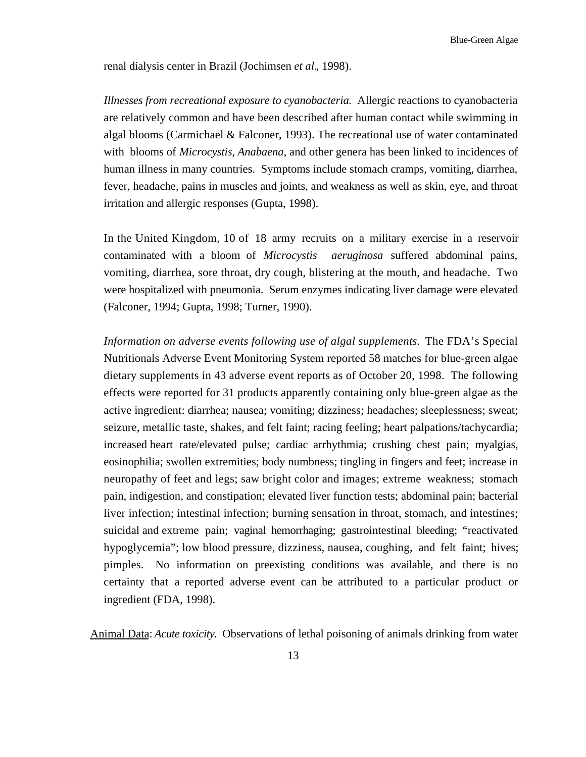renal dialysis center in Brazil (Jochimsen *et al.*, 1998).

*Illnesses from recreational exposure to cyanobacteria.* Allergic reactions to cyanobacteria are relatively common and have been described after human contact while swimming in algal blooms (Carmichael & Falconer, 1993). The recreational use of water contaminated with blooms of *Microcystis, Anabaena*, and other genera has been linked to incidences of human illness in many countries. Symptoms include stomach cramps, vomiting, diarrhea, fever, headache, pains in muscles and joints, and weakness as well as skin, eye, and throat irritation and allergic responses (Gupta, 1998).

In the United Kingdom, 10 of 18 army recruits on a military exercise in a reservoir contaminated with a bloom of *Microcystis aeruginosa* suffered abdominal pains, vomiting, diarrhea, sore throat, dry cough, blistering at the mouth, and headache. Two were hospitalized with pneumonia. Serum enzymes indicating liver damage were elevated (Falconer, 1994; Gupta, 1998; Turner, 1990).

*Information on adverse events following use of algal supplements.* The FDA's Special Nutritionals Adverse Event Monitoring System reported 58 matches for blue-green algae dietary supplements in 43 adverse event reports as of October 20, 1998. The following effects were reported for 31 products apparently containing only blue-green algae as the active ingredient: diarrhea; nausea; vomiting; dizziness; headaches; sleeplessness; sweat; seizure, metallic taste, shakes, and felt faint; racing feeling; heart palpations/tachycardia; increased heart rate/elevated pulse; cardiac arrhythmia; crushing chest pain; myalgias, eosinophilia; swollen extremities; body numbness; tingling in fingers and feet; increase in neuropathy of feet and legs; saw bright color and images; extreme weakness; stomach pain, indigestion, and constipation; elevated liver function tests; abdominal pain; bacterial liver infection; intestinal infection; burning sensation in throat, stomach, and intestines; suicidal and extreme pain; vaginal hemorrhaging; gastrointestinal bleeding; "reactivated hypoglycemia"; low blood pressure, dizziness, nausea, coughing, and felt faint; hives; pimples. No information on preexisting conditions was available, and there is no certainty that a reported adverse event can be attributed to a particular product or ingredient (FDA, 1998).

Animal Data: *Acute toxicity.* Observations of lethal poisoning of animals drinking from water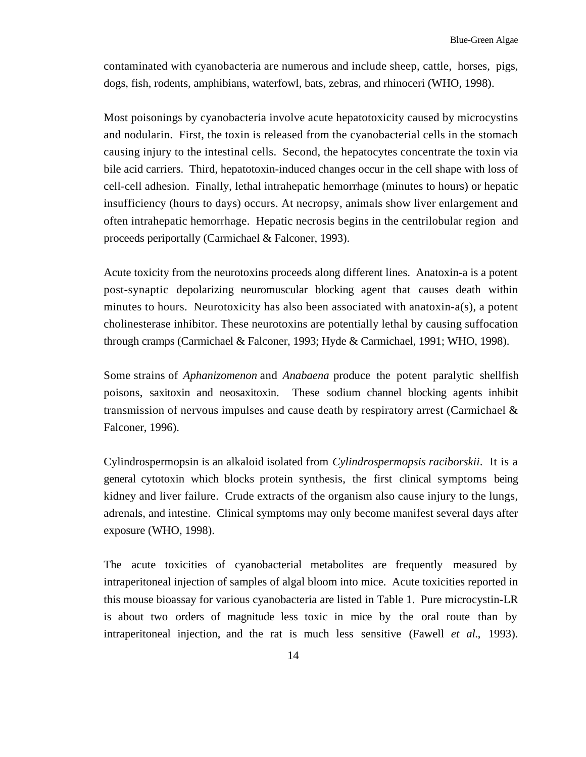contaminated with cyanobacteria are numerous and include sheep, cattle, horses, pigs, dogs, fish, rodents, amphibians, waterfowl, bats, zebras, and rhinoceri (WHO, 1998).

Most poisonings by cyanobacteria involve acute hepatotoxicity caused by microcystins and nodularin. First, the toxin is released from the cyanobacterial cells in the stomach causing injury to the intestinal cells. Second, the hepatocytes concentrate the toxin via bile acid carriers. Third, hepatotoxin-induced changes occur in the cell shape with loss of cell-cell adhesion. Finally, lethal intrahepatic hemorrhage (minutes to hours) or hepatic insufficiency (hours to days) occurs. At necropsy, animals show liver enlargement and often intrahepatic hemorrhage. Hepatic necrosis begins in the centrilobular region and proceeds periportally (Carmichael & Falconer, 1993).

Acute toxicity from the neurotoxins proceeds along different lines. Anatoxin-a is a potent post-synaptic depolarizing neuromuscular blocking agent that causes death within minutes to hours. Neurotoxicity has also been associated with anatoxin-a(s), a potent cholinesterase inhibitor. These neurotoxins are potentially lethal by causing suffocation through cramps (Carmichael & Falconer, 1993; Hyde & Carmichael, 1991; WHO, 1998).

Some strains of *Aphanizomenon* and *Anabaena* produce the potent paralytic shellfish poisons, saxitoxin and neosaxitoxin. These sodium channel blocking agents inhibit transmission of nervous impulses and cause death by respiratory arrest (Carmichael & Falconer, 1996).

Cylindrospermopsin is an alkaloid isolated from *Cylindrospermopsis raciborskii*. It is a general cytotoxin which blocks protein synthesis, the first clinical symptoms being kidney and liver failure. Crude extracts of the organism also cause injury to the lungs, adrenals, and intestine. Clinical symptoms may only become manifest several days after exposure (WHO, 1998).

The acute toxicities of cyanobacterial metabolites are frequently measured by intraperitoneal injection of samples of algal bloom into mice. Acute toxicities reported in this mouse bioassay for various cyanobacteria are listed in Table 1. Pure microcystin-LR is about two orders of magnitude less toxic in mice by the oral route than by intraperitoneal injection, and the rat is much less sensitive (Fawell *et al.*, 1993).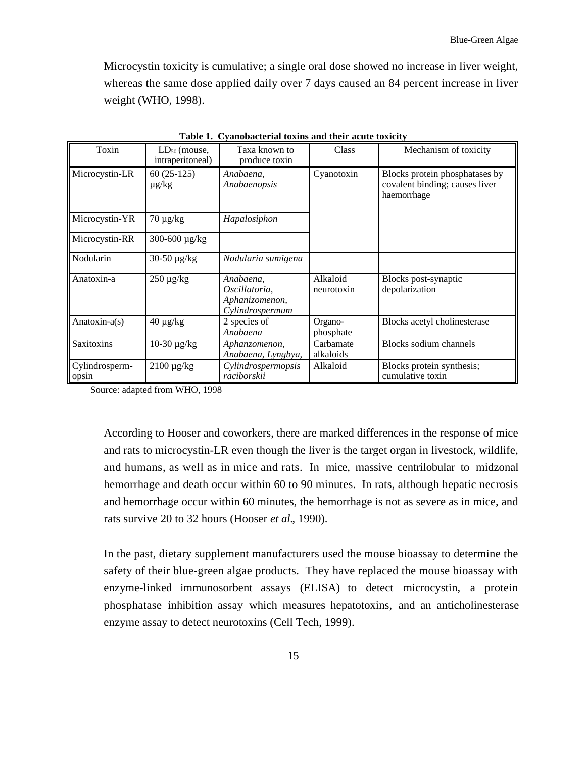Microcystin toxicity is cumulative; a single oral dose showed no increase in liver weight, whereas the same dose applied daily over 7 days caused an 84 percent increase in liver weight (WHO, 1998).

| Toxin                   | $LD_{50}$ (mouse,<br>intraperitoneal) | Taxa known to<br>produce toxin                                  | Class                  | Mechanism of toxicity                                                           |
|-------------------------|---------------------------------------|-----------------------------------------------------------------|------------------------|---------------------------------------------------------------------------------|
| Microcystin-LR          | $60(25-125)$<br>$\mu$ g/kg            | Anabaena.<br>Anabaenopsis                                       | Cyanotoxin             | Blocks protein phosphatases by<br>covalent binding; causes liver<br>haemorrhage |
| Microcystin-YR          | $70 \mu g/kg$                         | Hapalosiphon                                                    |                        |                                                                                 |
| Microcystin-RR          | 300-600 µg/kg                         |                                                                 |                        |                                                                                 |
| Nodularin               | 30-50 μg/kg                           | Nodularia sumigena                                              |                        |                                                                                 |
| Anatoxin-a              | $250 \mu g/kg$                        | Anabaena.<br>Oscillatoria,<br>Aphanizomenon,<br>Cylindrospermum | Alkaloid<br>neurotoxin | Blocks post-synaptic<br>depolarization                                          |
| Anatoxin-a(s)           | $40 \mu g/kg$                         | 2 species of<br>Anabaena                                        | Organo-<br>phosphate   | Blocks acetyl cholinesterase                                                    |
| Saxitoxins              | 10-30 μg/kg                           | Aphanzomenon,<br>Anabaena, Lyngbya,                             | Carbamate<br>alkaloids | <b>Blocks sodium channels</b>                                                   |
| Cylindrosperm-<br>opsin | $2100 \,\mu g/kg$                     | Cylindrospermopsis<br>raciborskii                               | Alkaloid               | Blocks protein synthesis;<br>cumulative toxin                                   |

**Table 1. Cyanobacterial toxins and their acute toxicity** 

Source: adapted from WHO, 1998

According to Hooser and coworkers, there are marked differences in the response of mice and rats to microcystin-LR even though the liver is the target organ in livestock, wildlife, and humans, as well as in mice and rats. In mice, massive centrilobular to midzonal hemorrhage and death occur within 60 to 90 minutes. In rats, although hepatic necrosis and hemorrhage occur within 60 minutes, the hemorrhage is not as severe as in mice, and rats survive 20 to 32 hours (Hooser *et al.*, 1990).

In the past, dietary supplement manufacturers used the mouse bioassay to determine the safety of their blue-green algae products. They have replaced the mouse bioassay with enzyme-linked immunosorbent assays (ELISA) to detect microcystin, a protein phosphatase inhibition assay which measures hepatotoxins, and an anticholinesterase enzyme assay to detect neurotoxins (Cell Tech, 1999).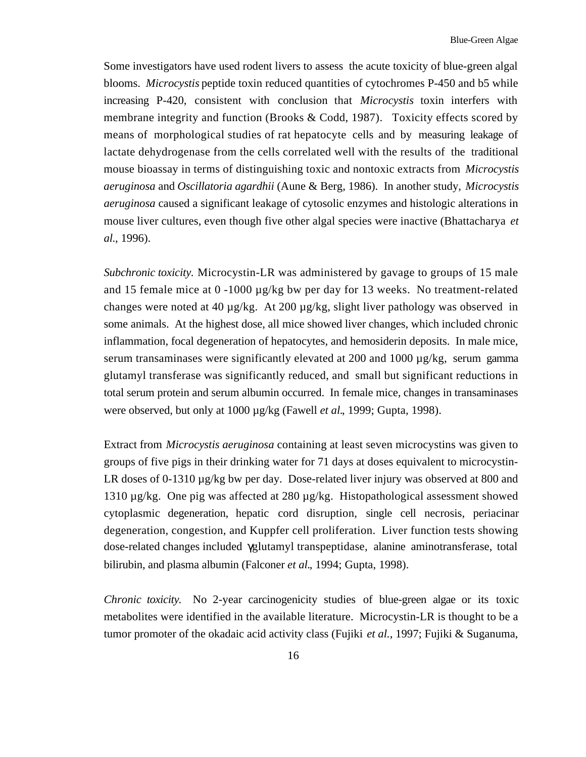Some investigators have used rodent livers to assess the acute toxicity of blue-green algal blooms. *Microcystis* peptide toxin reduced quantities of cytochromes P-450 and b5 while increasing P-420, consistent with conclusion that *Microcystis* toxin interfers with membrane integrity and function (Brooks & Codd, 1987). Toxicity effects scored by means of morphological studies of rat hepatocyte cells and by measuring leakage of lactate dehydrogenase from the cells correlated well with the results of the traditional mouse bioassay in terms of distinguishing toxic and nontoxic extracts from *Microcystis aeruginosa* and *Oscillatoria agardhii* (Aune & Berg, 1986). In another study, *Microcystis aeruginosa* caused a significant leakage of cytosolic enzymes and histologic alterations in mouse liver cultures, even though five other algal species were inactive (Bhattacharya *et al.*, 1996).

*Subchronic toxicity.* Microcystin-LR was administered by gavage to groups of 15 male and 15 female mice at  $0 -1000 \mu$ g/kg bw per day for 13 weeks. No treatment-related changes were noted at 40  $\mu$ g/kg. At 200  $\mu$ g/kg, slight liver pathology was observed in some animals. At the highest dose, all mice showed liver changes, which included chronic inflammation, focal degeneration of hepatocytes, and hemosiderin deposits. In male mice, serum transaminases were significantly elevated at 200 and 1000  $\mu$ g/kg, serum gamma glutamyl transferase was significantly reduced, and small but significant reductions in total serum protein and serum albumin occurred. In female mice, changes in transaminases were observed, but only at 1000 µg/kg (Fawell *et al.*, 1999; Gupta, 1998).

Extract from *Microcystis aeruginosa* containing at least seven microcystins was given to groups of five pigs in their drinking water for 71 days at doses equivalent to microcystin-LR doses of 0-1310 ug/kg bw per day. Dose-related liver injury was observed at 800 and 1310 µg/kg. One pig was affected at 280 µg/kg. Histopathological assessment showed cytoplasmic degeneration, hepatic cord disruption, single cell necrosis, periacinar degeneration, congestion, and Kuppfer cell proliferation. Liver function tests showing dose-related changes included glutamyl transpeptidase, alanine aminotransferase, total bilirubin, and plasma albumin (Falconer *et al.*, 1994; Gupta, 1998).

*Chronic toxicity.* No 2-year carcinogenicity studies of blue-green algae or its toxic metabolites were identified in the available literature. Microcystin-LR is thought to be a tumor promoter of the okadaic acid activity class (Fujiki *et al.*, 1997; Fujiki & Suganuma,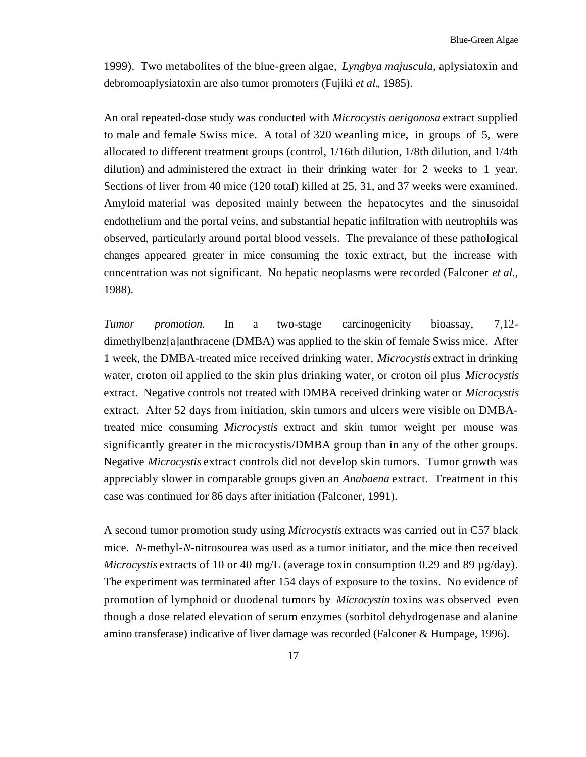1999). Two metabolites of the blue-green algae, *Lyngbya majuscula*, aplysiatoxin and debromoaplysiatoxin are also tumor promoters (Fujiki *et al.*, 1985).

An oral repeated-dose study was conducted with *Microcystis aerigonosa* extract supplied to male and female Swiss mice. A total of 320 weanling mice, in groups of 5, were allocated to different treatment groups (control, 1/16th dilution, 1/8th dilution, and 1/4th dilution) and administered the extract in their drinking water for 2 weeks to 1 year. Sections of liver from 40 mice (120 total) killed at 25, 31, and 37 weeks were examined. Amyloid material was deposited mainly between the hepatocytes and the sinusoidal endothelium and the portal veins, and substantial hepatic infiltration with neutrophils was observed, particularly around portal blood vessels. The prevalance of these pathological changes appeared greater in mice consuming the toxic extract, but the increase with concentration was not significant. No hepatic neoplasms were recorded (Falconer *et al.*, 1988).

*Tumor promotion.* In a two-stage carcinogenicity bioassay, 7,12 dimethylbenz[a]anthracene (DMBA) was applied to the skin of female Swiss mice. After 1 week, the DMBA-treated mice received drinking water, *Microcystis* extract in drinking water, croton oil applied to the skin plus drinking water, or croton oil plus *Microcystis*  extract. Negative controls not treated with DMBA received drinking water or *Microcystis*  extract. After 52 days from initiation, skin tumors and ulcers were visible on DMBAtreated mice consuming *Microcystis* extract and skin tumor weight per mouse was significantly greater in the microcystis/DMBA group than in any of the other groups. Negative *Microcystis* extract controls did not develop skin tumors. Tumor growth was appreciably slower in comparable groups given an *Anabaena* extract. Treatment in this case was continued for 86 days after initiation (Falconer, 1991).

A second tumor promotion study using *Microcystis* extracts was carried out in C57 black mice. *N*-methyl-*N*-nitrosourea was used as a tumor initiator, and the mice then received *Microcystis* extracts of 10 or 40 mg/L (average toxin consumption 0.29 and 89 µg/day). The experiment was terminated after 154 days of exposure to the toxins. No evidence of promotion of lymphoid or duodenal tumors by *Microcystin* toxins was observed even though a dose related elevation of serum enzymes (sorbitol dehydrogenase and alanine amino transferase) indicative of liver damage was recorded (Falconer & Humpage, 1996).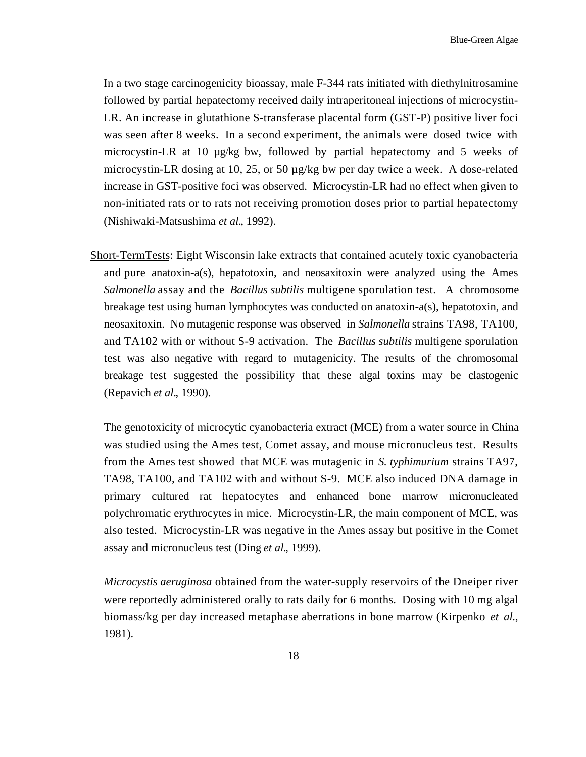In a two stage carcinogenicity bioassay, male F-344 rats initiated with diethylnitrosamine followed by partial hepatectomy received daily intraperitoneal injections of microcystin-LR. An increase in glutathione S-transferase placental form (GST-P) positive liver foci was seen after 8 weeks. In a second experiment, the animals were dosed twice with microcystin-LR at 10 µg/kg bw, followed by partial hepatectomy and 5 weeks of microcystin-LR dosing at 10, 25, or 50 µg/kg bw per day twice a week. A dose-related increase in GST-positive foci was observed. Microcystin-LR had no effect when given to non-initiated rats or to rats not receiving promotion doses prior to partial hepatectomy (Nishiwaki-Matsushima *et al.*, 1992).

Short-TermTests: Eight Wisconsin lake extracts that contained acutely toxic cyanobacteria and pure anatoxin-a(s), hepatotoxin, and neosaxitoxin were analyzed using the Ames *Salmonella* assay and the *Bacillus subtilis* multigene sporulation test. A chromosome breakage test using human lymphocytes was conducted on anatoxin-a(s), hepatotoxin, and neosaxitoxin. No mutagenic response was observed in *Salmonella* strains TA98, TA100, and TA102 with or without S-9 activation. The *Bacillus subtilis* multigene sporulation test was also negative with regard to mutagenicity. The results of the chromosomal breakage test suggested the possibility that these algal toxins may be clastogenic (Repavich *et al.*, 1990).

The genotoxicity of microcytic cyanobacteria extract (MCE) from a water source in China was studied using the Ames test, Comet assay, and mouse micronucleus test. Results from the Ames test showed that MCE was mutagenic in *S. typhimurium* strains TA97, TA98, TA100, and TA102 with and without S-9. MCE also induced DNA damage in primary cultured rat hepatocytes and enhanced bone marrow micronucleated polychromatic erythrocytes in mice. Microcystin-LR, the main component of MCE, was also tested. Microcystin-LR was negative in the Ames assay but positive in the Comet assay and micronucleus test (Ding *et al.*, 1999).

*Microcystis aeruginosa* obtained from the water-supply reservoirs of the Dneiper river were reportedly administered orally to rats daily for 6 months. Dosing with 10 mg algal biomass/kg per day increased metaphase aberrations in bone marrow (Kirpenko *et al.*, 1981).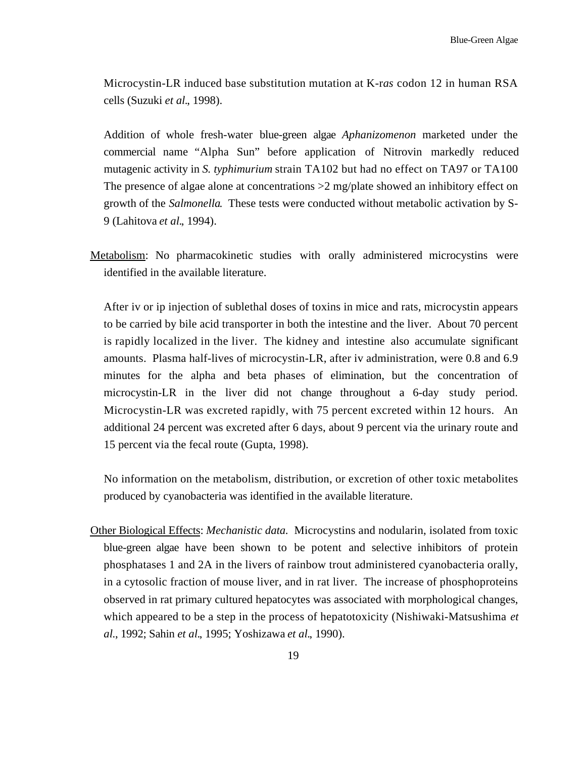Microcystin-LR induced base substitution mutation at K-r*as* codon 12 in human RSA cells (Suzuki *et al.*, 1998).

Addition of whole fresh-water blue-green algae *Aphanizomenon* marketed under the commercial name "Alpha Sun" before application of Nitrovin markedly reduced mutagenic activity in *S. typhimurium* strain TA102 but had no effect on TA97 or TA100 The presence of algae alone at concentrations  $>2$  mg/plate showed an inhibitory effect on growth of the *Salmonella*. These tests were conducted without metabolic activation by S-9 (Lahitova *et al.*, 1994).

Metabolism: No pharmacokinetic studies with orally administered microcystins were identified in the available literature.

After iv or ip injection of sublethal doses of toxins in mice and rats, microcystin appears to be carried by bile acid transporter in both the intestine and the liver. About 70 percent is rapidly localized in the liver. The kidney and intestine also accumulate significant amounts. Plasma half-lives of microcystin-LR, after iv administration, were 0.8 and 6.9 minutes for the alpha and beta phases of elimination, but the concentration of microcystin-LR in the liver did not change throughout a 6-day study period. Microcystin-LR was excreted rapidly, with 75 percent excreted within 12 hours. An additional 24 percent was excreted after 6 days, about 9 percent via the urinary route and 15 percent via the fecal route (Gupta, 1998).

No information on the metabolism, distribution, or excretion of other toxic metabolites produced by cyanobacteria was identified in the available literature.

Other Biological Effects: *Mechanistic data.* Microcystins and nodularin, isolated from toxic blue-green algae have been shown to be potent and selective inhibitors of protein phosphatases 1 and 2A in the livers of rainbow trout administered cyanobacteria orally, in a cytosolic fraction of mouse liver, and in rat liver. The increase of phosphoproteins observed in rat primary cultured hepatocytes was associated with morphological changes, which appeared to be a step in the process of hepatotoxicity (Nishiwaki-Matsushima *et al.*, 1992; Sahin *et al.*, 1995; Yoshizawa *et al.*, 1990).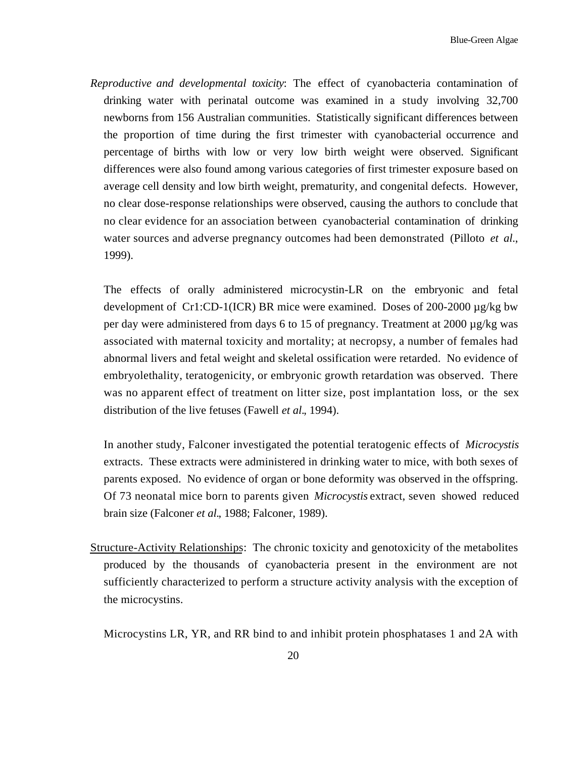*Reproductive and developmental toxicity*: The effect of cyanobacteria contamination of drinking water with perinatal outcome was examined in a study involving 32,700 newborns from 156 Australian communities. Statistically significant differences between the proportion of time during the first trimester with cyanobacterial occurrence and percentage of births with low or very low birth weight were observed. Significant differences were also found among various categories of first trimester exposure based on average cell density and low birth weight, prematurity, and congenital defects. However, no clear dose-response relationships were observed, causing the authors to conclude that no clear evidence for an association between cyanobacterial contamination of drinking water sources and adverse pregnancy outcomes had been demonstrated (Pilloto *et al.*, 1999).

The effects of orally administered microcystin-LR on the embryonic and fetal development of Cr1:CD-1(ICR) BR mice were examined. Doses of 200-2000 µg/kg bw per day were administered from days 6 to 15 of pregnancy. Treatment at 2000 µg/kg was associated with maternal toxicity and mortality; at necropsy, a number of females had abnormal livers and fetal weight and skeletal ossification were retarded. No evidence of embryolethality, teratogenicity, or embryonic growth retardation was observed. There was no apparent effect of treatment on litter size, post implantation loss, or the sex distribution of the live fetuses (Fawell *et al.*, 1994).

In another study, Falconer investigated the potential teratogenic effects of *Microcystis*  extracts. These extracts were administered in drinking water to mice, with both sexes of parents exposed. No evidence of organ or bone deformity was observed in the offspring. Of 73 neonatal mice born to parents given *Microcystis* extract, seven showed reduced brain size (Falconer *et al.*, 1988; Falconer, 1989).

Structure-Activity Relationships: The chronic toxicity and genotoxicity of the metabolites produced by the thousands of cyanobacteria present in the environment are not sufficiently characterized to perform a structure activity analysis with the exception of the microcystins.

Microcystins LR, YR, and RR bind to and inhibit protein phosphatases 1 and 2A with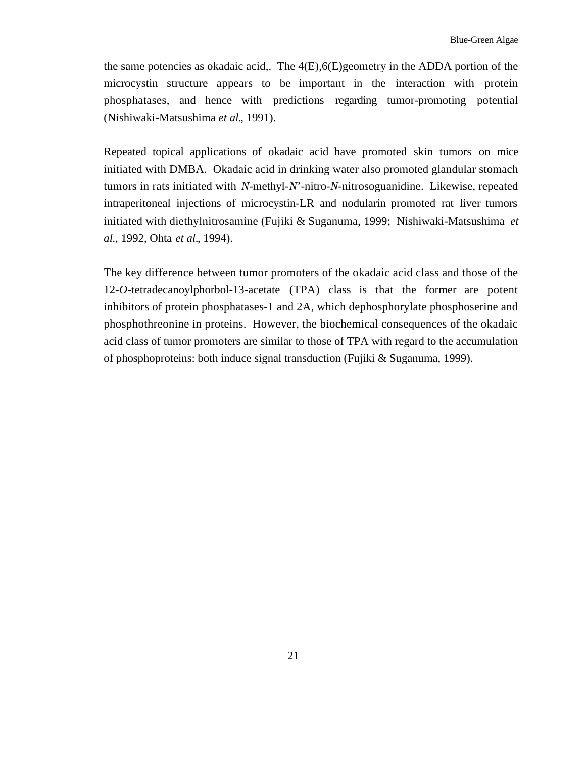the same potencies as okadaic acid,. The 4(E),6(E)geometry in the ADDA portion of the microcystin structure appears to be important in the interaction with protein phosphatases, and hence with predictions regarding tumor-promoting potential (Nishiwaki-Matsushima *et al.*, 1991).

Repeated topical applications of okadaic acid have promoted skin tumors on mice initiated with DMBA. Okadaic acid in drinking water also promoted glandular stomach tumors in rats initiated with *N-*methyl-*N*'-nitro-*N*-nitrosoguanidine. Likewise, repeated intraperitoneal injections of microcystin-LR and nodularin promoted rat liver tumors initiated with diethylnitrosamine (Fujiki & Suganuma, 1999; Nishiwaki-Matsushima *et al.*, 1992, Ohta *et al.*, 1994).

The key difference between tumor promoters of the okadaic acid class and those of the 12-*O*-tetradecanoylphorbol-13-acetate (TPA) class is that the former are potent inhibitors of protein phosphatases-1 and 2A, which dephosphorylate phosphoserine and phosphothreonine in proteins. However, the biochemical consequences of the okadaic acid class of tumor promoters are similar to those of TPA with regard to the accumulation of phosphoproteins: both induce signal transduction (Fujiki & Suganuma, 1999).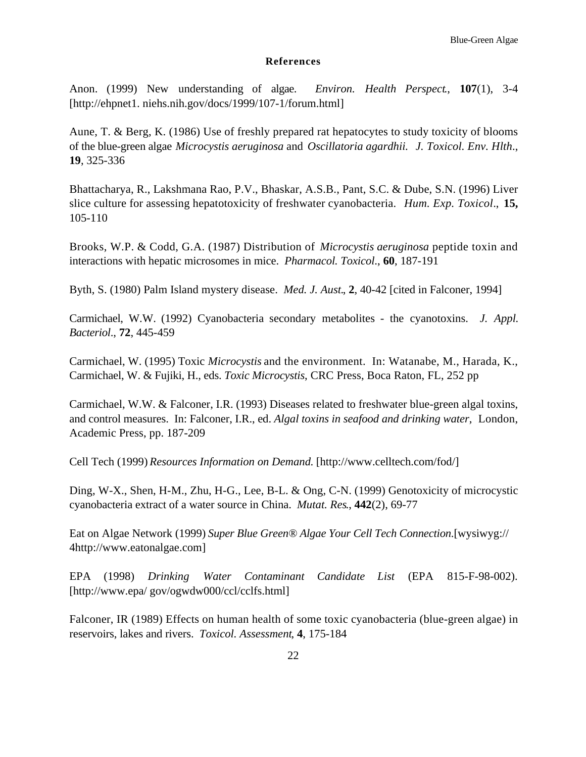#### **References**

Anon. (1999) New understanding of algae. *Environ. Health Perspect*., **107**(1), 3-4 [http://ehpnet1.niehs.nih.gov/docs/1999/107-1/forum.html]

Aune, T. & Berg, K. (1986) Use of freshly prepared rat hepatocytes to study toxicity of blooms of the blue-green algae *Microcystis aeruginosa* and *Oscillatoria agardhii*. *J. Toxicol. Env. Hlth*., **19**, 325-336

Bhattacharya, R., Lakshmana Rao, P.V., Bhaskar, A.S.B., Pant, S.C. & Dube, S.N. (1996) Liver slice culture for assessing hepatotoxicity of freshwater cyanobacteria. *Hum. Exp. Toxicol*., **15,**  105-110

Brooks, W.P. & Codd, G.A. (1987) Distribution of *Microcystis aeruginosa* peptide toxin and interactions with hepatic microsomes in mice. *Pharmacol. Toxicol*., **60**, 187-191

Byth, S. (1980) Palm Island mystery disease. *Med. J. Aust.*, **2**, 40-42 [cited in Falconer, 1994]

Carmichael, W.W. (1992) Cyanobacteria secondary metabolites - the cyanotoxins. *J. Appl. Bacteriol*., **72**, 445-459

Carmichael, W. (1995) Toxic *Microcystis* and the environment. In: Watanabe, M., Harada, K., Carmichael, W. & Fujiki, H., eds. *Toxic Microcystis*, CRC Press, Boca Raton, FL, 252 pp

Carmichael, W.W. & Falconer, I.R. (1993) Diseases related to freshwater blue-green algal toxins, and control measures. In: Falconer, I.R., ed. *Algal toxins in seafood and drinking water*, London, Academic Press, pp. 187-209

Cell Tech (1999) *Resources Information on Demand*. [http://www.celltech.com/fod/]

Ding, W-X., Shen, H-M., Zhu, H-G., Lee, B-L. & Ong, C-N. (1999) Genotoxicity of microcystic cyanobacteria extract of a water source in China. *Mutat. Res*., **442**(2), 69-77

Eat on Algae Network (1999) *Super Blue Green® Algae Your Cell Tech Connection*.[wysiwyg:// 4http://www.eatonalgae.com]

EPA (1998) *Drinking Water Contaminant Candidate List* (EPA 815-F-98-002). [http://www.epa/ gov/ogwdw000/ccl/cclfs.html]

Falconer, IR (1989) Effects on human health of some toxic cyanobacteria (blue-green algae) in reservoirs, lakes and rivers. *Toxicol. Assessment*, **4**, 175-184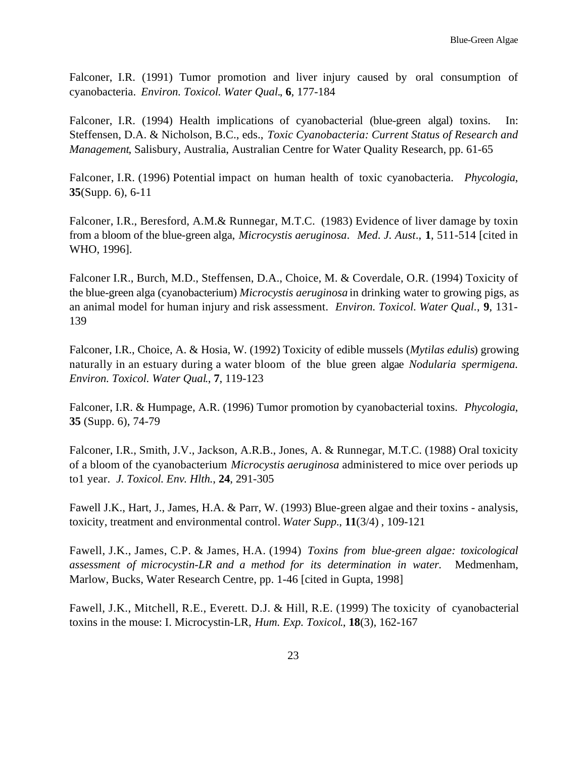Falconer, I.R. (1991) Tumor promotion and liver injury caused by oral consumption of cyanobacteria. *Environ. Toxicol. Water Qual.*, **6**, 177-184

Falconer, I.R. (1994) Health implications of cyanobacterial (blue-green algal) toxins. In: Steffensen, D.A. & Nicholson, B.C., eds., *Toxic Cyanobacteria: Current Status of Research and Management*, Salisbury, Australia, Australian Centre for Water Quality Research, pp. 61-65

Falconer, I.R. (1996) Potential impact on human health of toxic cyanobacteria. *Phycologia*, **35**(Supp. 6), 6-11

Falconer, I.R., Beresford, A.M.& Runnegar, M.T.C. (1983) Evidence of liver damage by toxin from a bloom of the blue-green alga, *Microcystis aeruginosa*. *Med. J. Aust*., **1**, 511-514 [cited in WHO, 1996].

Falconer I.R., Burch, M.D., Steffensen, D.A., Choice, M. & Coverdale, O.R. (1994) Toxicity of the blue-green alga (cyanobacterium) *Microcystis aeruginosa* in drinking water to growing pigs, as an animal model for human injury and risk assessment. *Environ. Toxicol. Water Qual.*, **9**, 131- 139

Falconer, I.R., Choice, A. & Hosia, W. (1992) Toxicity of edible mussels (*Mytilas edulis*) growing naturally in an estuary during a water bloom of the blue green algae *Nodularia spermigena. Environ. Toxicol. Water Qual*., **7**, 119-123

Falconer, I.R. & Humpage, A.R. (1996) Tumor promotion by cyanobacterial toxins. *Phycologia*, **35** (Supp. 6), 74-79

Falconer, I.R., Smith, J.V., Jackson, A.R.B., Jones, A. & Runnegar, M.T.C. (1988) Oral toxicity of a bloom of the cyanobacterium *Microcystis aeruginosa* administered to mice over periods up to1 year. *J. Toxicol. Env. Hlth.*, **24**, 291-305

Fawell J.K., Hart, J., James, H.A. & Parr, W. (1993) Blue-green algae and their toxins - analysis, toxicity, treatment and environmental control. *Water Supp.*, **11**(3/4) , 109-121

Fawell, J.K., James, C.P. & James, H.A. (1994) *Toxins from blue-green algae: toxicological assessment of microcystin-LR and a method for its determination in water*. Medmenham, Marlow, Bucks, Water Research Centre, pp. 1-46 [cited in Gupta, 1998]

Fawell, J.K., Mitchell, R.E., Everett. D.J. & Hill, R.E. (1999) The toxicity of cyanobacterial toxins in the mouse: I. Microcystin-LR, *Hum. Exp. Toxicol*., **18**(3), 162-167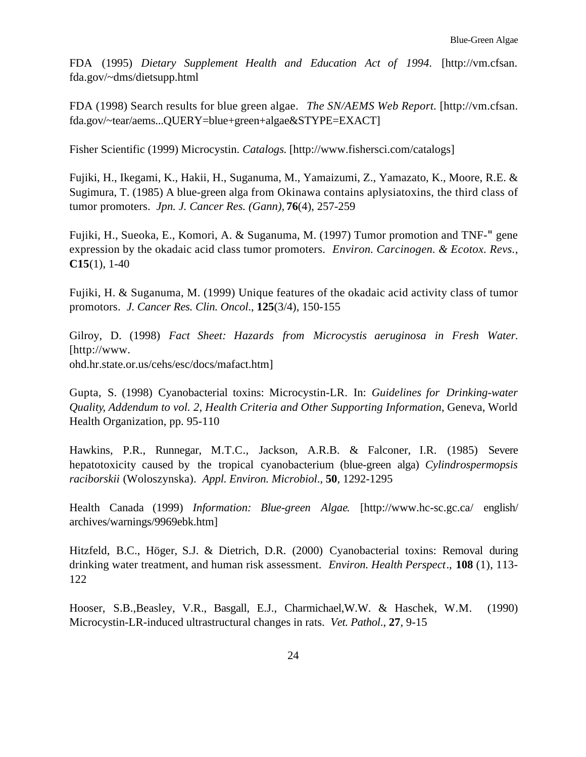FDA (1995) *Dietary Supplement Health and Education Act of 1994*. [http://vm.cfsan. fda.gov/~dms/dietsupp.html

FDA (1998) Search results for blue green algae. *The SN/AEMS Web Report.* [http://vm.cfsan. fda.gov/~tear/aems...QUERY=blue+green+algae&STYPE=EXACT]

Fisher Scientific (1999) Microcystin. *Catalogs*. [http://www.fishersci.com/catalogs]

Fujiki, H., Ikegami, K., Hakii, H., Suganuma, M., Yamaizumi, Z., Yamazato, K., Moore, R.E. & Sugimura, T. (1985) A blue-green alga from Okinawa contains aplysiatoxins, the third class of tumor promoters. *Jpn. J. Cancer Res. (Gann),* **76**(4), 257-259

Fujiki, H., Sueoka, E., Komori, A. & Suganuma, M. (1997) Tumor promotion and TNF-" gene expression by the okadaic acid class tumor promoters. *Environ. Carcinogen. & Ecotox. Revs.*, **C15**(1), 1-40

Fujiki, H. & Suganuma, M. (1999) Unique features of the okadaic acid activity class of tumor promotors. *J. Cancer Res. Clin. Oncol*., **125**(3/4), 150-155

Gilroy, D. (1998) *Fact Sheet: Hazards from Microcystis aeruginosa in Fresh Water*. [http://www. ohd.hr.state.or.us/cehs/esc/docs/mafact.htm]

Gupta, S. (1998) Cyanobacterial toxins: Microcystin-LR. In: *Guidelines for Drinking-water Quality*, *Addendum to vol. 2, Health Criteria and Other Supporting Information*, Geneva, World Health Organization, pp. 95-110

Hawkins, P.R., Runnegar, M.T.C., Jackson, A.R.B. & Falconer, I.R. (1985) Severe hepatotoxicity caused by the tropical cyanobacterium (blue-green alga) *Cylindrospermopsis raciborskii* (Woloszynska). *Appl. Environ. Microbiol*., **50**, 1292-1295

Health Canada (1999) *Information: Blue-green Algae*. [http://www.hc-sc.gc.ca/ english/ archives/warnings/9969ebk.htm]

Hitzfeld, B.C., Höger, S.J. & Dietrich, D.R. (2000) Cyanobacterial toxins: Removal during drinking water treatment, and human risk assessment. *Environ. Health Perspect*., **108** (1), 113- 122

Hooser, S.B.,Beasley, V.R., Basgall, E.J., Charmichael,W.W. & Haschek, W.M. (1990) Microcystin-LR-induced ultrastructural changes in rats. *Vet. Pathol*., **27**, 9-15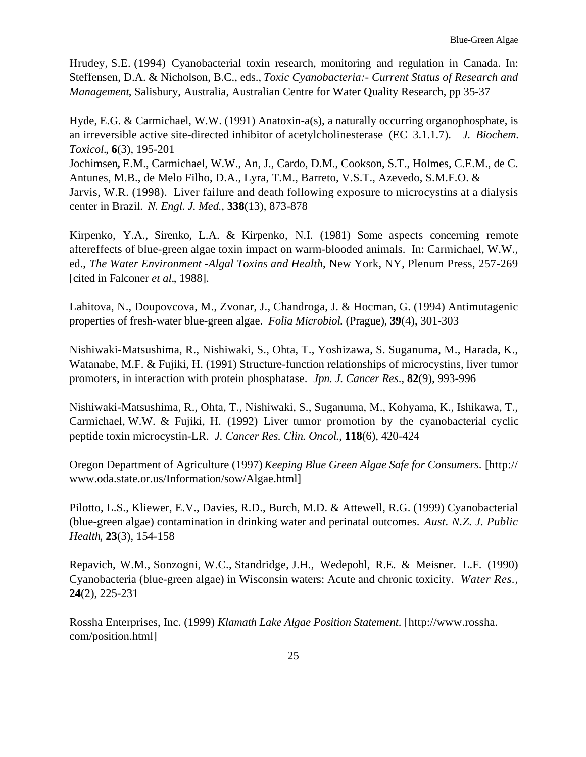Hrudey, S.E. (1994) Cyanobacterial toxin research, monitoring and regulation in Canada. In: Steffensen, D.A. & Nicholson, B.C., eds., *Toxic Cyanobacteria:- Current Status of Research and Management*, Salisbury, Australia, Australian Centre for Water Quality Research, pp 35-37

 an irreversible active site-directed inhibitor of acetylcholinesterase (EC 3.1.1.7). *J. Biochem.*  Hyde, E.G. & Carmichael, W.W. (1991) Anatoxin-a(s), a naturally occurring organophosphate, is *Toxicol.*, **6**(3), 195-201

Jochimsen**,** E.M., Carmichael, W.W., An, J., Cardo, D.M., Cookson, S.T., Holmes, C.E.M., de C. Antunes, M.B., de Melo Filho, D.A., Lyra, T.M., Barreto, V.S.T., Azevedo, S.M.F.O. & Jarvis, W.R. (1998). Liver failure and death following exposure to microcystins at a dialysis center in Brazil. *N. Engl. J. Med.*, **338**(13), 873-878

Kirpenko, Y.A., Sirenko, L.A. & Kirpenko, N.I. (1981) Some aspects concerning remote aftereffects of blue-green algae toxin impact on warm-blooded animals. In: Carmichael, W.W., ed., *The Water Environment -Algal Toxins and Health*, New York, NY, Plenum Press, 257-269 [cited in Falconer *et al.*, 1988].

Lahitova, N., Doupovcova, M., Zvonar, J., Chandroga, J. & Hocman, G. (1994) Antimutagenic properties of fresh-water blue-green algae. *Folia Microbiol.* (Prague), **39**(4), 301-303

Nishiwaki-Matsushima, R., Nishiwaki, S., Ohta, T., Yoshizawa, S. Suganuma, M., Harada, K., Watanabe, M.F. & Fujiki, H. (1991) Structure-function relationships of microcystins, liver tumor promoters, in interaction with protein phosphatase. *Jpn. J. Cancer Res*., **82**(9), 993-996

Nishiwaki-Matsushima, R., Ohta, T., Nishiwaki, S., Suganuma, M., Kohyama, K., Ishikawa, T., Carmichael, W.W. & Fujiki, H. (1992) Liver tumor promotion by the cyanobacterial cyclic peptide toxin microcystin-LR. *J. Cancer Res. Clin. Oncol.*, **118**(6), 420-424

Oregon Department of Agriculture (1997) *Keeping Blue Green Algae Safe for Consumers*. [http:// www.oda.state.or.us/Information/sow/Algae.html]

Pilotto, L.S., Kliewer, E.V., Davies, R.D., Burch, M.D. & Attewell, R.G. (1999) Cyanobacterial (blue-green algae) contamination in drinking water and perinatal outcomes. *Aust. N.Z. J. Public Health*, **23**(3), 154-158

Repavich, W.M., Sonzogni, W.C., Standridge, J.H., Wedepohl, R.E. & Meisner. L.F. (1990) Cyanobacteria (blue-green algae) in Wisconsin waters: Acute and chronic toxicity. *Water Res.*, **24**(2), 225-231

Rossha Enterprises, Inc. (1999) *Klamath Lake Algae Position Statement*. [http://www.rossha. com/position.html]